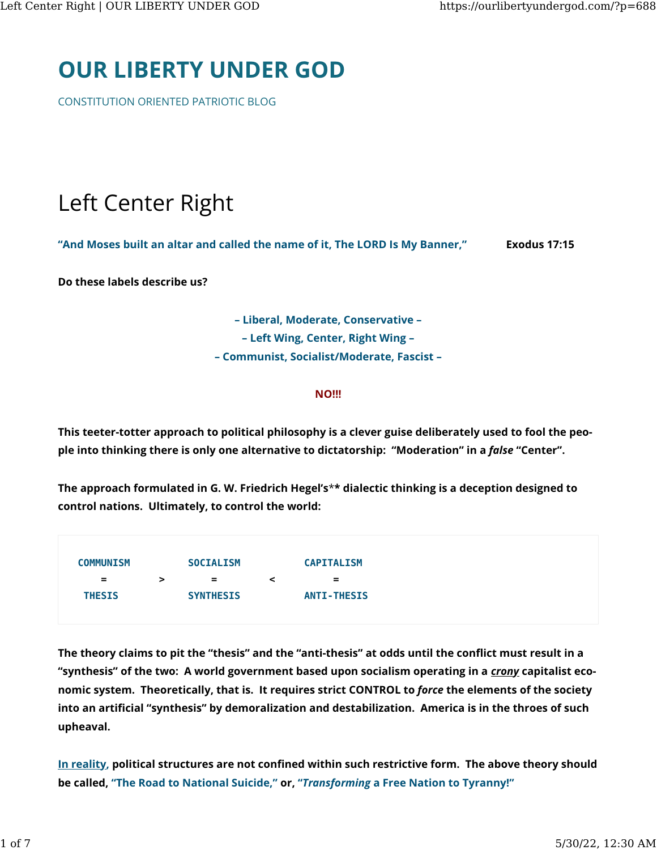# [OUR LIBERTY UNDER GOD](https://ourlibertyundergod.com/)

CONSTITUTION ORIENTED PATRIOTIC BLOG

# Left Center Right

"And Moses built an altar and called the name of it, The LORD Is My Banner," Exodus 17:15

Do these labels describe us?

– Liberal, Moderate, Conservative – – Left Wing, Center, Right Wing – – Communist, Socialist/Moderate, Fascist –

#### **NO!!!**

This teeter-totter approach to political philosophy is a clever guise deliberately used to fool the people into thinking there is only one alternative to dictatorship: "Moderation" in a false "Center".

The approach formulated in G. W. Friedrich Hegel's\*\* dialectic thinking is a deception designed to control nations. Ultimately, to control the world:

| <b>COMMUNISM</b> |   | <b>SOCIALISM</b> |   | <b>CAPITALISM</b>  |
|------------------|---|------------------|---|--------------------|
| $=$              | > | $=$              | ≺ | $=$                |
| <b>THESIS</b>    |   | <b>SYNTHESIS</b> |   | <b>ANTI-THESIS</b> |
|                  |   |                  |   |                    |

The theory claims to pit the "thesis" and the "anti-thesis" at odds until the conflict must result in a "synthesis" of the two: A world government based upon socialism operating in a crony capitalist economic system. Theoretically, that is. It requires strict CONTROL to force the elements of the society into an artificial "synthesis" by demoralization and destabilization. America is in the throes of such upheaval.

In reality, political structures are not confined within such restrictive form. The above theory should be called, "The Road to National Suicide," or, "Transforming a Free Nation to Tyranny!"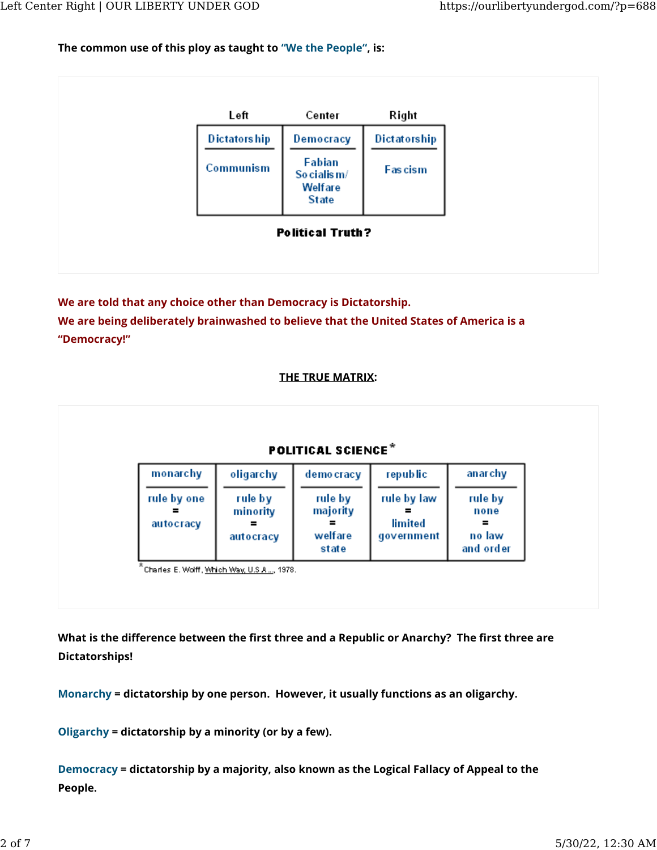#### The common use of this ploy as taught to "We the People", is:



We are told that any choice other than Democracy is Dictatorship. We are being deliberately brainwashed to believe that the United States of America is a "Democracy!"

#### THE TRUE MATRIX:



What is the difference between the first three and a Republic or Anarchy? The first three are Dictatorships!

Monarchy = dictatorship by one person. However, it usually functions as an oligarchy.

Oligarchy = dictatorship by a minority (or by a few).

Democracy = dictatorship by a majority, also known as the Logical Fallacy of Appeal to the People.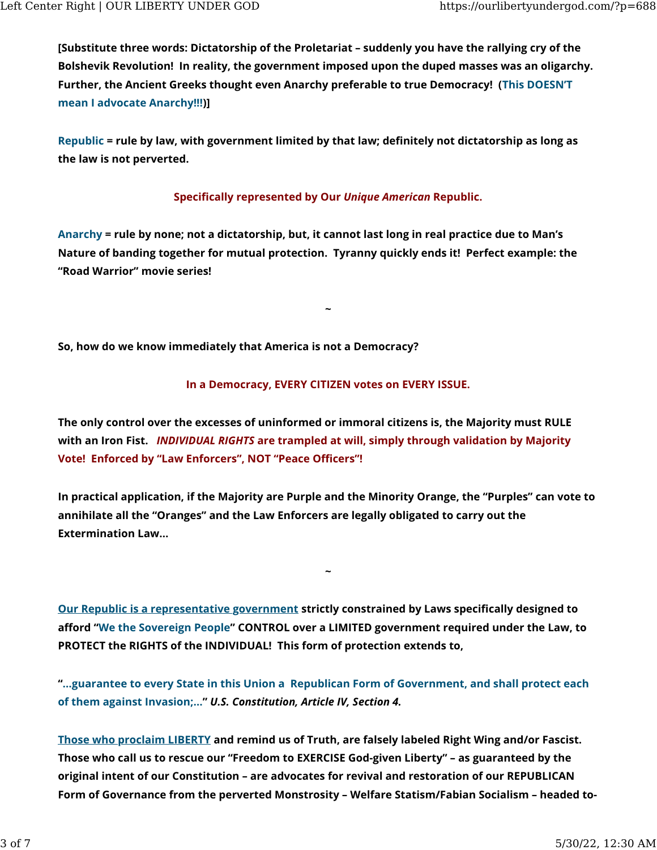[Substitute three words: Dictatorship of the Proletariat – suddenly you have the rallying cry of the Bolshevik Revolution! In reality, the government imposed upon the duped masses was an oligarchy. Further, the Ancient Greeks thought even Anarchy preferable to true Democracy! (This DOESN'T mean I advocate Anarchy!!!)]

Republic = rule by law, with government limited by that law; definitely not dictatorship as long as the law is not perverted.

### Specifically represented by Our Unique American Republic.

Anarchy = rule by none; not a dictatorship, but, it cannot last long in real practice due to Man's Nature of banding together for mutual protection. Tyranny quickly ends it! Perfect example: the "Road Warrior" movie series!

So, how do we know immediately that America is not a Democracy?

#### In a Democracy, EVERY CITIZEN votes on EVERY ISSUE.

~

The only control over the excesses of uninformed or immoral citizens is, the Majority must RULE with an Iron Fist. *INDIVIDUAL RIGHTS* are trampled at will, simply through validation by Majority Vote! Enforced by "Law Enforcers", NOT "Peace Officers"!

In practical application, if the Majority are Purple and the Minority Orange, the "Purples" can vote to annihilate all the "Oranges" and the Law Enforcers are legally obligated to carry out the Extermination Law…

~

Our Republic is a representative government strictly constrained by Laws speci�cally designed to afford "We the Sovereign People" CONTROL over a LIMITED government required under the Law, to PROTECT the RIGHTS of the INDIVIDUAL! This form of protection extends to,

"…guarantee to every State in this Union a Republican Form of Government, and shall protect each of them against Invasion;…" U.S. Constitution, Article IV, Section 4.

Those who proclaim LIBERTY and remind us of Truth, are falsely labeled Right Wing and/or Fascist. Those who call us to rescue our "Freedom to EXERCISE God-given Liberty" – as guaranteed by the original intent of our Constitution – are advocates for revival and restoration of our REPUBLICAN Form of Governance from the perverted Monstrosity – Welfare Statism/Fabian Socialism – headed to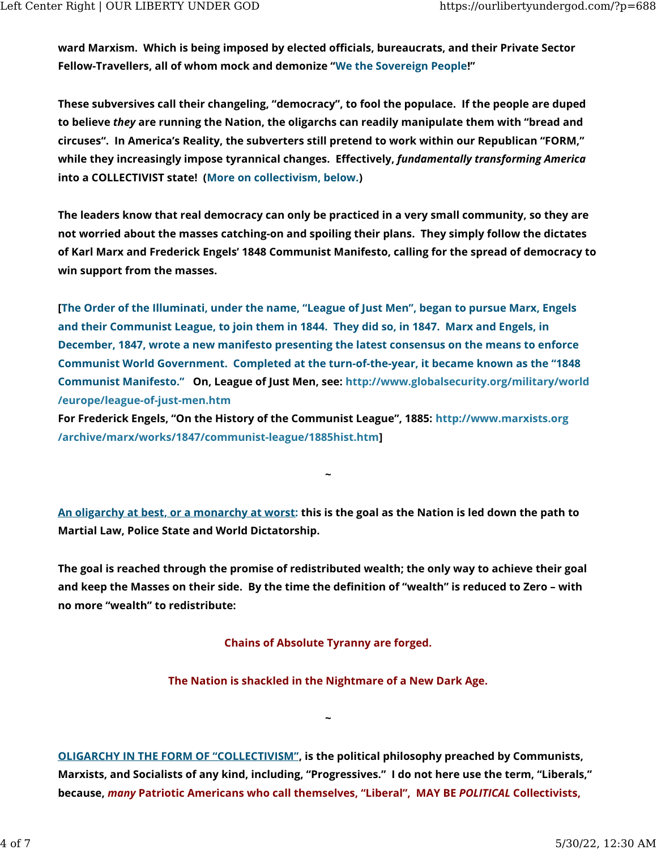ward Marxism. Which is being imposed by elected officials, bureaucrats, and their Private Sector Fellow-Travellers, all of whom mock and demonize "We the Sovereign People!"

These subversives call their changeling, "democracy", to fool the populace. If the people are duped to believe they are running the Nation, the oligarchs can readily manipulate them with "bread and circuses". In America's Reality, the subverters still pretend to work within our Republican "FORM," while they increasingly impose tyrannical changes. Effectively, fundamentally transforming America into a COLLECTIVIST state! (More on collectivism, below.)

The leaders know that real democracy can only be practiced in a very small community, so they are not worried about the masses catching-on and spoiling their plans. They simply follow the dictates of Karl Marx and Frederick Engels' 1848 Communist Manifesto, calling for the spread of democracy to win support from the masses.

[The Order of the Illuminati, under the name, "League of Just Men", began to pursue Marx, Engels and their Communist League, to join them in 1844. They did so, in 1847. Marx and Engels, in December, 1847, wrote a new manifesto presenting the latest consensus on the means to enforce Communist World Government. Completed at the turn-of-the-year, it became known as the "1848 Communist Manifesto." On, League of Just Men, see: [http://www.globalsecurity.org/military/world](http://www.globalsecurity.org/military/world/europe/league-of-just-men.htm) [/europe/league-of-just-men.htm](http://www.globalsecurity.org/military/world/europe/league-of-just-men.htm)

For Frederick Engels, "On the History of the Communist League", 1885: [http://www.marxists.org](http://www.marxists.org/archive/marx/works/1847/communist-league/1885hist.htm) [/archive/marx/works/1847/communist-league/1885hist.htm\]](http://www.marxists.org/archive/marx/works/1847/communist-league/1885hist.htm)

An oligarchy at best, or a monarchy at worst: this is the goal as the Nation is led down the path to Martial Law, Police State and World Dictatorship.

~

The goal is reached through the promise of redistributed wealth; the only way to achieve their goal and keep the Masses on their side. By the time the definition of "wealth" is reduced to Zero - with no more "wealth" to redistribute:

Chains of Absolute Tyranny are forged.

The Nation is shackled in the Nightmare of a New Dark Age.

 $\sim$ 

OLIGARCHY IN THE FORM OF "COLLECTIVISM", is the political philosophy preached by Communists, Marxists, and Socialists of any kind, including, "Progressives." I do not here use the term, "Liberals," because, many Patriotic Americans who call themselves, "Liberal", MAY BE POLITICAL Collectivists,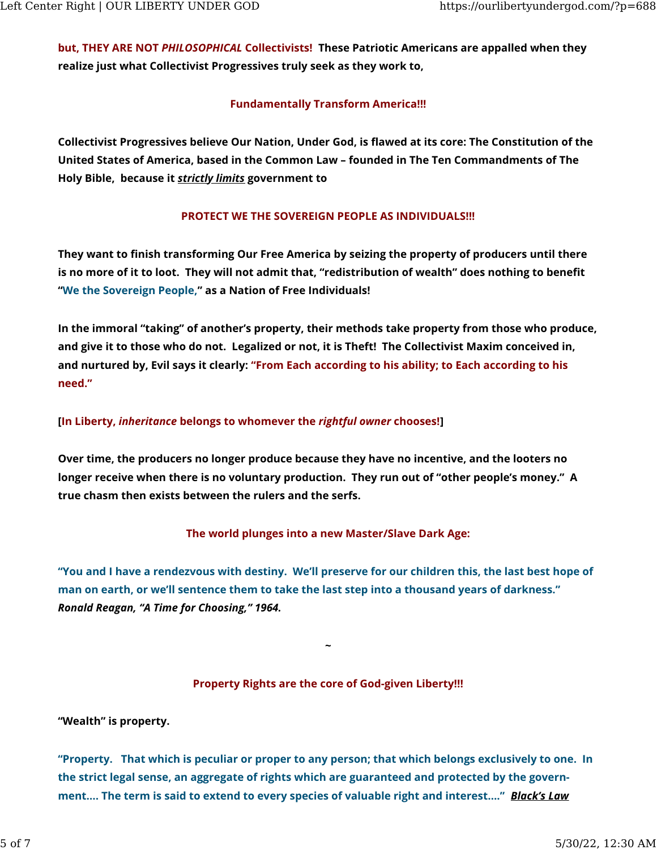but, THEY ARE NOT PHILOSOPHICAL Collectivists! These Patriotic Americans are appalled when they realize just what Collectivist Progressives truly seek as they work to,

### Fundamentally Transform America!!!

Collectivist Progressives believe Our Nation, Under God, is flawed at its core: The Constitution of the United States of America, based in the Common Law – founded in The Ten Commandments of The Holy Bible, because it strictly limits government to

## PROTECT WE THE SOVEREIGN PEOPLE AS INDIVIDUALS!!!

They want to finish transforming Our Free America by seizing the property of producers until there is no more of it to loot. They will not admit that, "redistribution of wealth" does nothing to benefit "We the Sovereign People," as a Nation of Free Individuals!

In the immoral "taking" of another's property, their methods take property from those who produce, and give it to those who do not. Legalized or not, it is Theft! The Collectivist Maxim conceived in, and nurtured by, Evil says it clearly: "From Each according to his ability; to Each according to his need."

### [In Liberty, inheritance belongs to whomever the rightful owner chooses!]

Over time, the producers no longer produce because they have no incentive, and the looters no longer receive when there is no voluntary production. They run out of "other people's money." A true chasm then exists between the rulers and the serfs.

The world plunges into a new Master/Slave Dark Age:

"You and I have a rendezvous with destiny. We'll preserve for our children this, the last best hope of man on earth, or we'll sentence them to take the last step into a thousand years of darkness." Ronald Reagan, "A Time for Choosing," 1964.

#### Property Rights are the core of God-given Liberty!!!

~

"Wealth" is property.

"Property. That which is peculiar or proper to any person; that which belongs exclusively to one. In the strict legal sense, an aggregate of rights which are guaranteed and protected by the government.... The term is said to extend to every species of valuable right and interest...." **Black's Law**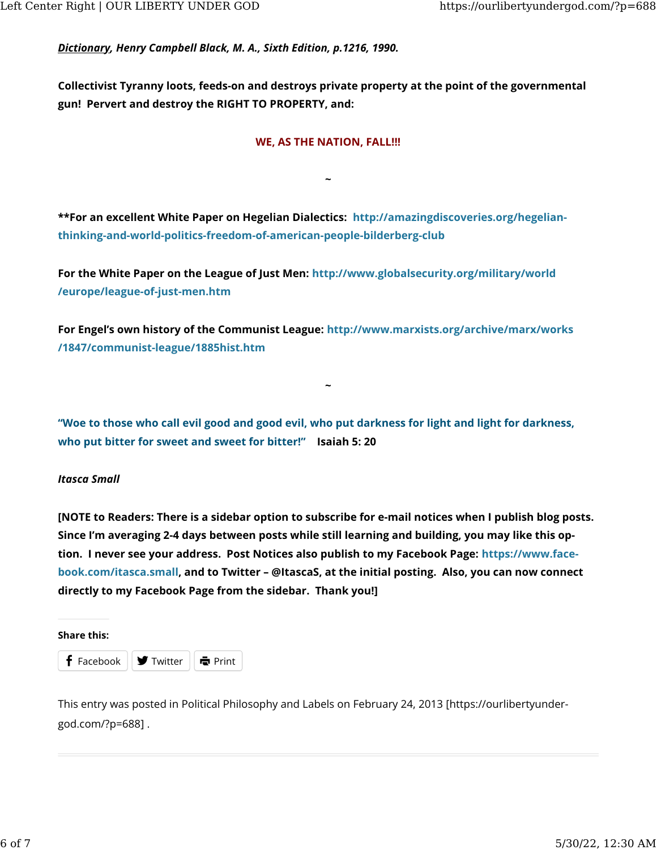Dictionary, Henry Campbell Black, M. A., Sixth Edition, p.1216, 1990.

Collectivist Tyranny loots, feeds-on and destroys private property at the point of the governmental gun! Pervert and destroy the RIGHT TO PROPERTY, and:

#### WE, AS THE NATION, FALL!!!

~

\*\*For an excellent White Paper on Hegelian Dialectics: [http://amazingdiscoveries.org/hegelian](http://amazingdiscoveries.org/hegelian-thinking-and-world-politics-freedom-of-american-people-bilderberg-club)[thinking-and-world-politics-freedom-of-american-people-bilderberg-club](http://amazingdiscoveries.org/hegelian-thinking-and-world-politics-freedom-of-american-people-bilderberg-club)

For the White Paper on the League of Just Men: [http://www.globalsecurity.org/military/world](http://www.globalsecurity.org/military/world/europe/league-of-just-men.htm) [/europe/league-of-just-men.htm](http://www.globalsecurity.org/military/world/europe/league-of-just-men.htm)

For Engel's own history of the Communist League: [http://www.marxists.org/archive/marx/works](http://www.marxists.org/archive/marx/works/1847/communist-league/1885hist.htm) [/1847/communist-league/1885hist.htm](http://www.marxists.org/archive/marx/works/1847/communist-league/1885hist.htm)

"Woe to those who call evil good and good evil, who put darkness for light and light for darkness, who put bitter for sweet and sweet for bitter!" Isaiah 5: 20

~

#### Itasca Small

[NOTE to Readers: There is a sidebar option to subscribe for e-mail notices when I publish blog posts. Since I'm averaging 2-4 days between posts while still learning and building, you may like this option. I never see your address. Post Notices also publish to my Facebook Page: [https://www.face](http://www.facebook.com/itasca.small)[book.com/itasca.small,](http://www.facebook.com/itasca.small) and to Twitter – @ItascaS, at the initial posting. Also, you can now connect directly to my Facebook Page from the sidebar. Thank you!]

#### Share this:



This entry was posted in [Political Philosophy and Labels](https://ourlibertyundergod.com/?cat=20) on [February 24, 2013 \[https://ourlibertyunder](https://ourlibertyundergod.com/?p=688)[god.com/?p=688\] .](https://ourlibertyundergod.com/?p=688)